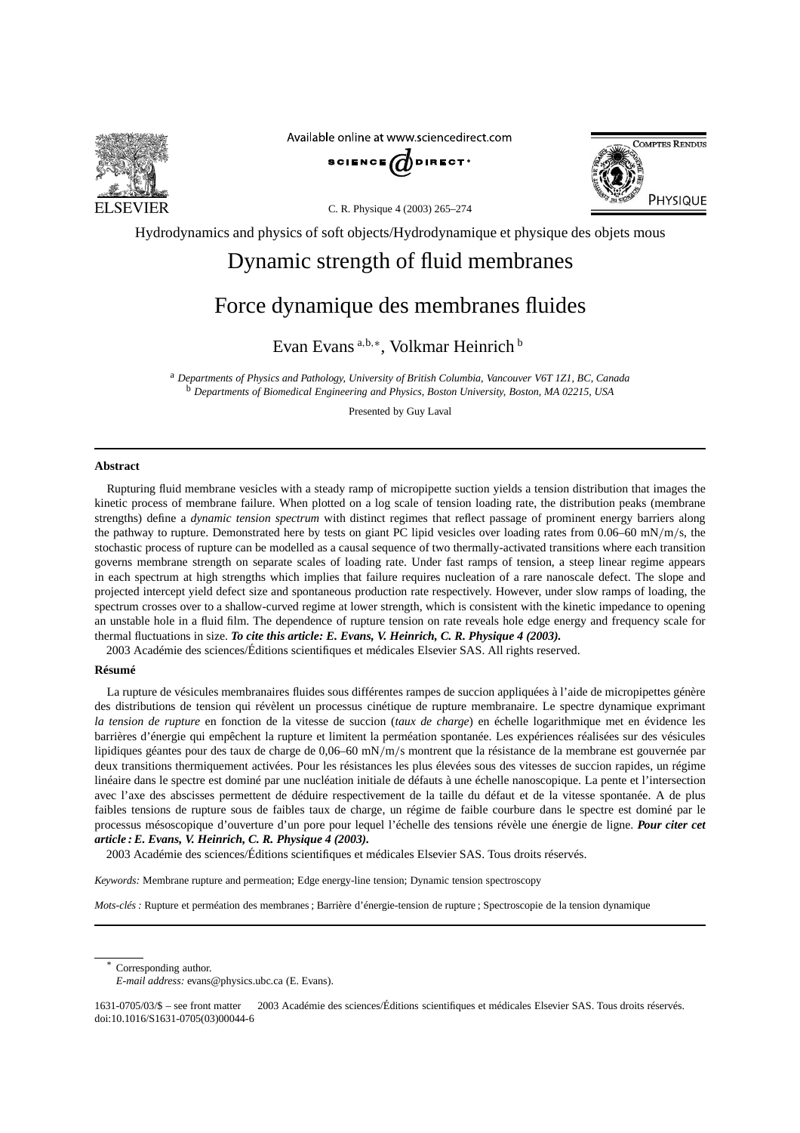

Available online at www.sciencedirect.com







Hydrodynamics and physics of soft objects/Hydrodynamique et physique des objets mous

# Dynamic strength of fluid membranes

# Force dynamique des membranes fluides

Evan Evans <sup>a</sup>*,*b*,*<sup>∗</sup> , Volkmar Heinrich <sup>b</sup>

<sup>a</sup> *Departments of Physics and Pathology, University of British Columbia, Vancouver V6T 1Z1, BC, Canada* <sup>b</sup> *Departments of Biomedical Engineering and Physics, Boston University, Boston, MA 02215, USA*

Presented by Guy Laval

### **Abstract**

Rupturing fluid membrane vesicles with a steady ramp of micropipette suction yields a tension distribution that images the kinetic process of membrane failure. When plotted on a log scale of tension loading rate, the distribution peaks (membrane strengths) define a *dynamic tension spectrum* with distinct regimes that reflect passage of prominent energy barriers along the pathway to rupture. Demonstrated here by tests on giant PC lipid vesicles over loading rates from 0.06–60 mN*/*m*/*s, the stochastic process of rupture can be modelled as a causal sequence of two thermally-activated transitions where each transition governs membrane strength on separate scales of loading rate. Under fast ramps of tension, a steep linear regime appears in each spectrum at high strengths which implies that failure requires nucleation of a rare nanoscale defect. The slope and projected intercept yield defect size and spontaneous production rate respectively. However, under slow ramps of loading, the spectrum crosses over to a shallow-curved regime at lower strength, which is consistent with the kinetic impedance to opening an unstable hole in a fluid film. The dependence of rupture tension on rate reveals hole edge energy and frequency scale for thermal fluctuations in size. *To cite this article: E. Evans, V. Heinrich, C. R. Physique 4 (2003).*

2003 Académie des sciences/Éditions scientifiques et médicales Elsevier SAS. All rights reserved.

## **Résumé**

La rupture de vésicules membranaires fluides sous différentes rampes de succion appliquées à l'aide de micropipettes génère des distributions de tension qui révèlent un processus cinétique de rupture membranaire. Le spectre dynamique exprimant *la tension de rupture* en fonction de la vitesse de succion (*taux de charge*) en échelle logarithmique met en évidence les barrières d'énergie qui empêchent la rupture et limitent la perméation spontanée. Les expériences réalisées sur des vésicules lipidiques géantes pour des taux de charge de 0,06–60 mN*/*m*/*s montrent que la résistance de la membrane est gouvernée par deux transitions thermiquement activées. Pour les résistances les plus élevées sous des vitesses de succion rapides, un régime linéaire dans le spectre est dominé par une nucléation initiale de défauts à une échelle nanoscopique. La pente et l'intersection avec l'axe des abscisses permettent de déduire respectivement de la taille du défaut et de la vitesse spontanée. A de plus faibles tensions de rupture sous de faibles taux de charge, un régime de faible courbure dans le spectre est dominé par le processus mésoscopique d'ouverture d'un pore pour lequel l'échelle des tensions révèle une énergie de ligne. *Pour citer cet article : E. Evans, V. Heinrich, C. R. Physique 4 (2003).*

2003 Académie des sciences/Éditions scientifiques et médicales Elsevier SAS. Tous droits réservés.

*Keywords:* Membrane rupture and permeation; Edge energy-line tension; Dynamic tension spectroscopy

*Mots-clés :* Rupture et perméation des membranes ; Barrière d'énergie-tension de rupture ; Spectroscopie de la tension dynamique

Corresponding author.

1631-0705/03/\$ – see front matter 2003 Académie des sciences/Éditions scientifiques et médicales Elsevier SAS. Tous droits réservés. doi:10.1016/S1631-0705(03)00044-6

*E-mail address:* evans@physics.ubc.ca (E. Evans).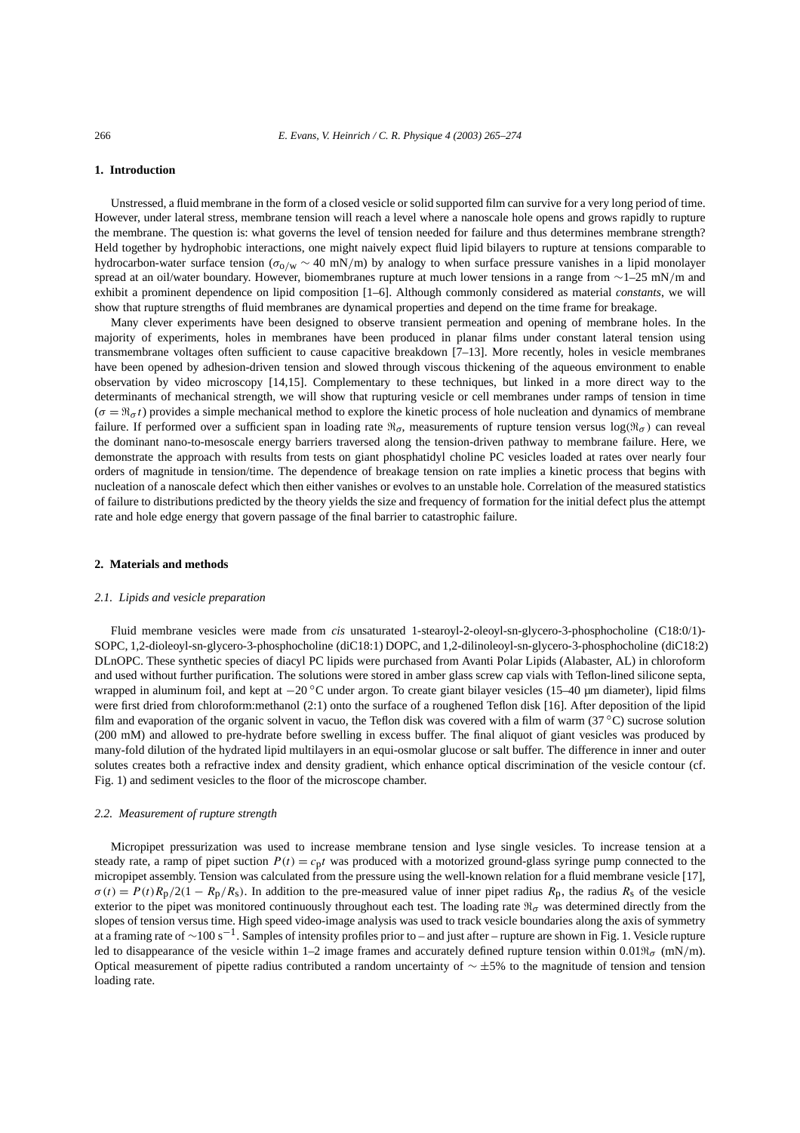## **1. Introduction**

Unstressed, a fluid membrane in the form of a closed vesicle or solid supported film can survive for a very long period of time. However, under lateral stress, membrane tension will reach a level where a nanoscale hole opens and grows rapidly to rupture the membrane. The question is: what governs the level of tension needed for failure and thus determines membrane strength? Held together by hydrophobic interactions, one might naively expect fluid lipid bilayers to rupture at tensions comparable to hydrocarbon-water surface tension (*σ*o*/*<sup>w</sup> ∼ 40 mN*/*m) by analogy to when surface pressure vanishes in a lipid monolayer spread at an oil/water boundary. However, biomembranes rupture at much lower tensions in a range from ∼1–25 mN*/*m and exhibit a prominent dependence on lipid composition [1–6]. Although commonly considered as material *constants*, we will show that rupture strengths of fluid membranes are dynamical properties and depend on the time frame for breakage.

Many clever experiments have been designed to observe transient permeation and opening of membrane holes. In the majority of experiments, holes in membranes have been produced in planar films under constant lateral tension using transmembrane voltages often sufficient to cause capacitive breakdown [7–13]. More recently, holes in vesicle membranes have been opened by adhesion-driven tension and slowed through viscous thickening of the aqueous environment to enable observation by video microscopy [14,15]. Complementary to these techniques, but linked in a more direct way to the determinants of mechanical strength, we will show that rupturing vesicle or cell membranes under ramps of tension in time  $(\sigma = \Re_{\sigma} t)$  provides a simple mechanical method to explore the kinetic process of hole nucleation and dynamics of membrane failure. If performed over a sufficient span in loading rate  $\mathfrak{R}_{\sigma}$ , measurements of rupture tension versus log $(\mathfrak{R}_{\sigma})$  can reveal the dominant nano-to-mesoscale energy barriers traversed along the tension-driven pathway to membrane failure. Here, we demonstrate the approach with results from tests on giant phosphatidyl choline PC vesicles loaded at rates over nearly four orders of magnitude in tension/time. The dependence of breakage tension on rate implies a kinetic process that begins with nucleation of a nanoscale defect which then either vanishes or evolves to an unstable hole. Correlation of the measured statistics of failure to distributions predicted by the theory yields the size and frequency of formation for the initial defect plus the attempt rate and hole edge energy that govern passage of the final barrier to catastrophic failure.

#### **2. Materials and methods**

#### *2.1. Lipids and vesicle preparation*

Fluid membrane vesicles were made from *cis* unsaturated 1-stearoyl-2-oleoyl-sn-glycero-3-phosphocholine (C18:0/1)- SOPC, 1,2-dioleoyl-sn-glycero-3-phosphocholine (diC18:1) DOPC, and 1,2-dilinoleoyl-sn-glycero-3-phosphocholine (diC18:2) DLnOPC. These synthetic species of diacyl PC lipids were purchased from Avanti Polar Lipids (Alabaster, AL) in chloroform and used without further purification. The solutions were stored in amber glass screw cap vials with Teflon-lined silicone septa, wrapped in aluminum foil, and kept at  $-20$  °C under argon. To create giant bilayer vesicles (15–40 µm diameter), lipid films were first dried from chloroform:methanol (2:1) onto the surface of a roughened Teflon disk [16]. After deposition of the lipid film and evaporation of the organic solvent in vacuo, the Teflon disk was covered with a film of warm  $(37^{\circ}C)$  sucrose solution (200 mM) and allowed to pre-hydrate before swelling in excess buffer. The final aliquot of giant vesicles was produced by many-fold dilution of the hydrated lipid multilayers in an equi-osmolar glucose or salt buffer. The difference in inner and outer solutes creates both a refractive index and density gradient, which enhance optical discrimination of the vesicle contour (cf. Fig. 1) and sediment vesicles to the floor of the microscope chamber.

#### *2.2. Measurement of rupture strength*

Micropipet pressurization was used to increase membrane tension and lyse single vesicles. To increase tension at a steady rate, a ramp of pipet suction  $P(t) = c_p t$  was produced with a motorized ground-glass syringe pump connected to the micropipet assembly. Tension was calculated from the pressure using the well-known relation for a fluid membrane vesicle [17],  $\sigma(t) = P(t)R_p/2(1 - R_p/R_s)$ . In addition to the pre-measured value of inner pipet radius  $R_p$ , the radius  $R_s$  of the vesicle exterior to the pipet was monitored continuously throughout each test. The loading rate  $\Re_{\sigma}$  was determined directly from the slopes of tension versus time. High speed video-image analysis was used to track vesicle boundaries along the axis of symmetry at a framing rate of ∼100 s<sup>−</sup>1. Samples of intensity profiles prior to – and just after – rupture are shown in Fig. 1. Vesicle rupture led to disappearance of the vesicle within 1–2 image frames and accurately defined rupture tension within 0.01 $\mathfrak{N}_{\sigma}$  (mN/m). Optical measurement of pipette radius contributed a random uncertainty of  $\sim \pm 5\%$  to the magnitude of tension and tension loading rate.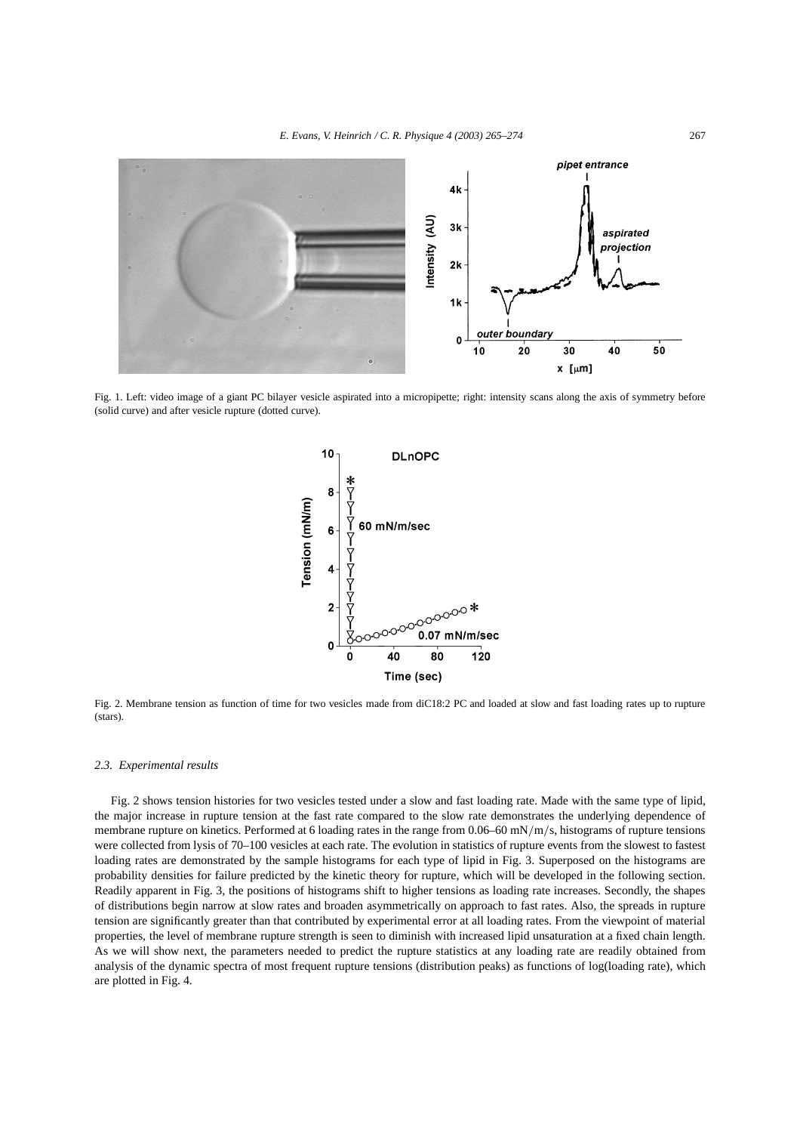

Fig. 1. Left: video image of a giant PC bilayer vesicle aspirated into a micropipette; right: intensity scans along the axis of symmetry before (solid curve) and after vesicle rupture (dotted curve).



Fig. 2. Membrane tension as function of time for two vesicles made from diC18:2 PC and loaded at slow and fast loading rates up to rupture (stars).

#### *2.3. Experimental results*

Fig. 2 shows tension histories for two vesicles tested under a slow and fast loading rate. Made with the same type of lipid, the major increase in rupture tension at the fast rate compared to the slow rate demonstrates the underlying dependence of membrane rupture on kinetics. Performed at 6 loading rates in the range from 0.06–60 mN*/*m*/*s, histograms of rupture tensions were collected from lysis of 70–100 vesicles at each rate. The evolution in statistics of rupture events from the slowest to fastest loading rates are demonstrated by the sample histograms for each type of lipid in Fig. 3. Superposed on the histograms are probability densities for failure predicted by the kinetic theory for rupture, which will be developed in the following section. Readily apparent in Fig. 3, the positions of histograms shift to higher tensions as loading rate increases. Secondly, the shapes of distributions begin narrow at slow rates and broaden asymmetrically on approach to fast rates. Also, the spreads in rupture tension are significantly greater than that contributed by experimental error at all loading rates. From the viewpoint of material properties, the level of membrane rupture strength is seen to diminish with increased lipid unsaturation at a fixed chain length. As we will show next, the parameters needed to predict the rupture statistics at any loading rate are readily obtained from analysis of the dynamic spectra of most frequent rupture tensions (distribution peaks) as functions of log(loading rate), which are plotted in Fig. 4.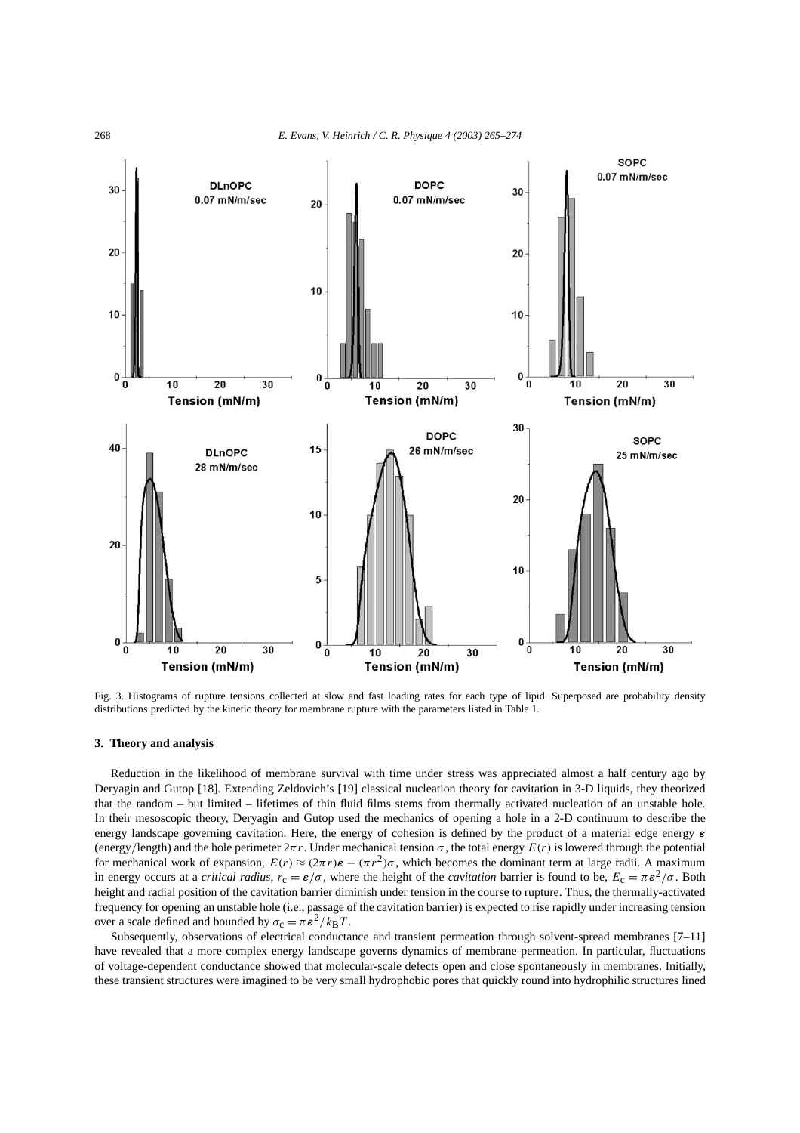

Fig. 3. Histograms of rupture tensions collected at slow and fast loading rates for each type of lipid. Superposed are probability density distributions predicted by the kinetic theory for membrane rupture with the parameters listed in Table 1.

### **3. Theory and analysis**

Reduction in the likelihood of membrane survival with time under stress was appreciated almost a half century ago by Deryagin and Gutop [18]. Extending Zeldovich's [19] classical nucleation theory for cavitation in 3-D liquids, they theorized that the random – but limited – lifetimes of thin fluid films stems from thermally activated nucleation of an unstable hole. In their mesoscopic theory, Deryagin and Gutop used the mechanics of opening a hole in a 2-D continuum to describe the energy landscape governing cavitation. Here, the energy of cohesion is defined by the product of a material edge energy *ε* (energy/length) and the hole perimeter  $2\pi r$ . Under mechanical tension  $\sigma$ , the total energy  $E(r)$  is lowered through the potential for mechanical work of expansion,  $E(r) \approx (2\pi r)\epsilon - (\pi r^2)\sigma$ , which becomes the dominant term at large radii. A maximum in energy occurs at a *critical radius*,  $r_c = \varepsilon/\sigma$ , where the height of the *cavitation* barrier is found to be,  $E_c = \pi \varepsilon^2/\sigma$ . Both height and radial position of the cavitation barrier diminish under tension in the course to rupture. Thus, the thermally-activated frequency for opening an unstable hole (i.e., passage of the cavitation barrier) is expected to rise rapidly under increasing tension over a scale defined and bounded by  $\sigma_c = \pi \epsilon^2 / k_B T$ .

Subsequently, observations of electrical conductance and transient permeation through solvent-spread membranes [7–11] have revealed that a more complex energy landscape governs dynamics of membrane permeation. In particular, fluctuations of voltage-dependent conductance showed that molecular-scale defects open and close spontaneously in membranes. Initially, these transient structures were imagined to be very small hydrophobic pores that quickly round into hydrophilic structures lined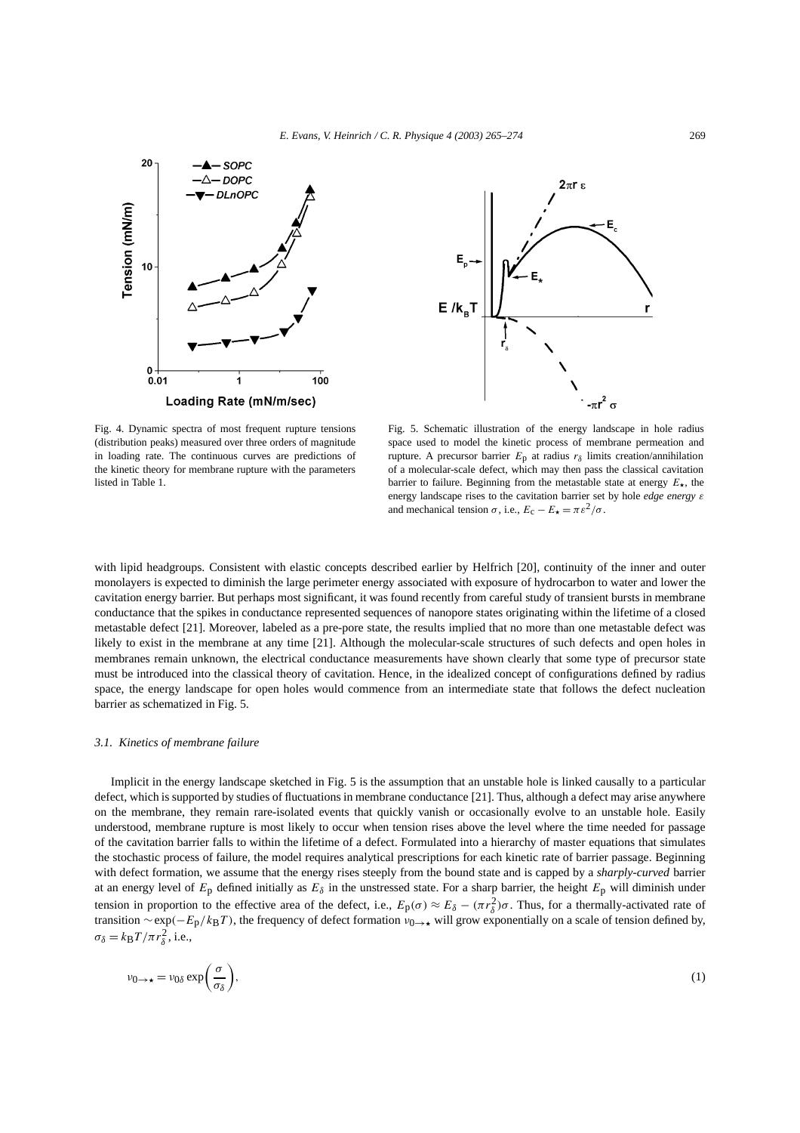



Fig. 4. Dynamic spectra of most frequent rupture tensions (distribution peaks) measured over three orders of magnitude in loading rate. The continuous curves are predictions of the kinetic theory for membrane rupture with the parameters listed in Table 1.

Fig. 5. Schematic illustration of the energy landscape in hole radius space used to model the kinetic process of membrane permeation and rupture. A precursor barrier  $E_p$  at radius  $r_\delta$  limits creation/annihilation of a molecular-scale defect, which may then pass the classical cavitation barrier to failure. Beginning from the metastable state at energy  $E_{\star}$ , the energy landscape rises to the cavitation barrier set by hole *edge energy ε* and mechanical tension  $\sigma$ , i.e.,  $E_c - E_{\star} = \pi \varepsilon^2 / \sigma$ .

with lipid headgroups. Consistent with elastic concepts described earlier by Helfrich [20], continuity of the inner and outer monolayers is expected to diminish the large perimeter energy associated with exposure of hydrocarbon to water and lower the cavitation energy barrier. But perhaps most significant, it was found recently from careful study of transient bursts in membrane conductance that the spikes in conductance represented sequences of nanopore states originating within the lifetime of a closed metastable defect [21]. Moreover, labeled as a pre-pore state, the results implied that no more than one metastable defect was likely to exist in the membrane at any time [21]. Although the molecular-scale structures of such defects and open holes in membranes remain unknown, the electrical conductance measurements have shown clearly that some type of precursor state must be introduced into the classical theory of cavitation. Hence, in the idealized concept of configurations defined by radius space, the energy landscape for open holes would commence from an intermediate state that follows the defect nucleation barrier as schematized in Fig. 5.

#### *3.1. Kinetics of membrane failure*

Implicit in the energy landscape sketched in Fig. 5 is the assumption that an unstable hole is linked causally to a particular defect, which is supported by studies of fluctuations in membrane conductance [21]. Thus, although a defect may arise anywhere on the membrane, they remain rare-isolated events that quickly vanish or occasionally evolve to an unstable hole. Easily understood, membrane rupture is most likely to occur when tension rises above the level where the time needed for passage of the cavitation barrier falls to within the lifetime of a defect. Formulated into a hierarchy of master equations that simulates the stochastic process of failure, the model requires analytical prescriptions for each kinetic rate of barrier passage. Beginning with defect formation, we assume that the energy rises steeply from the bound state and is capped by a *sharply-curved* barrier at an energy level of  $E_p$  defined initially as  $E_\delta$  in the unstressed state. For a sharp barrier, the height  $E_p$  will diminish under tension in proportion to the effective area of the defect, i.e.,  $E_p(\sigma) \approx E_\delta - (\pi r_\delta^2)\sigma$ . Thus, for a thermally-activated rate of transition  $\sim$  exp( $-E_p/k_BT$ ), the frequency of defect formation  $v_{0\to\star}$  will grow exponentially on a scale of tension defined by,  $\sigma_{\delta} = k_{\rm B} T / \pi r_{\delta}^2$ , i.e.,

$$
\nu_{0\to\star} = \nu_{0\delta} \exp\bigg(\frac{\sigma}{\sigma_\delta}\bigg),\tag{1}
$$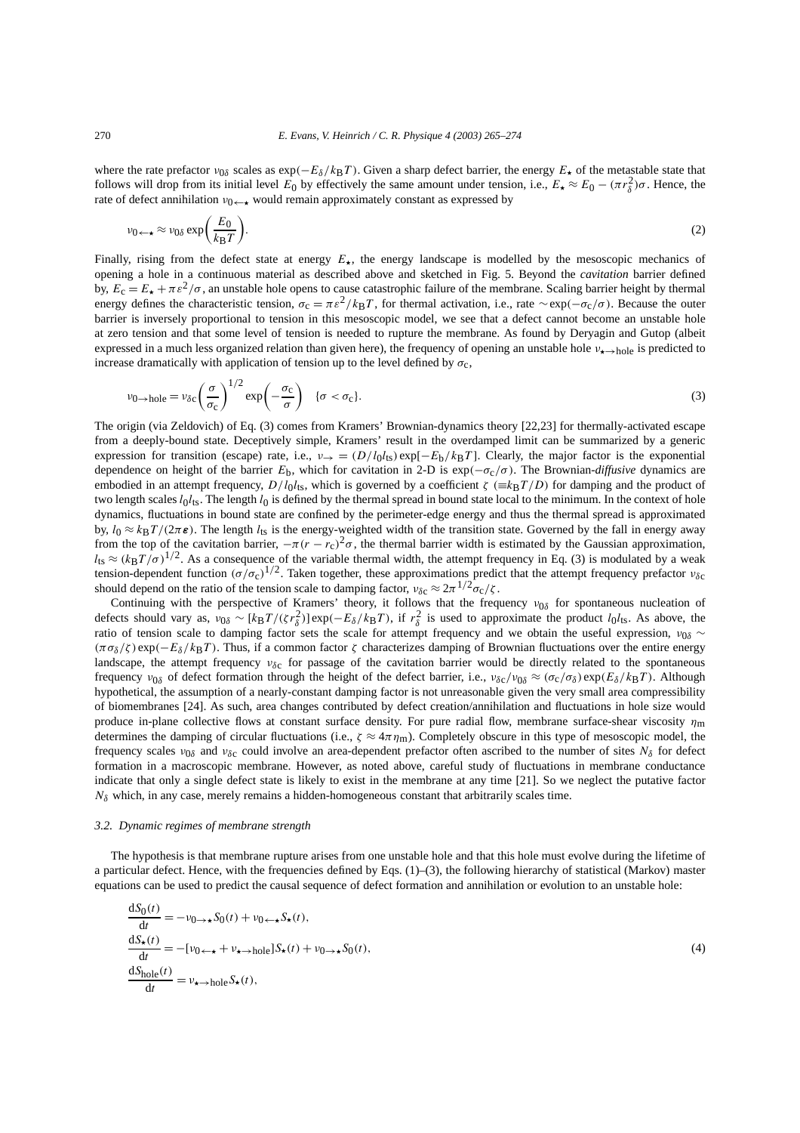where the rate prefactor  $v_{0\delta}$  scales as exp( $-E_\delta/k_BT$ ). Given a sharp defect barrier, the energy  $E_\star$  of the metastable state that follows will drop from its initial level  $E_0$  by effectively the same amount under tension, i.e.,  $E_{\star} \approx E_0 - (\pi r_\delta^2)\sigma$ . Hence, the rate of defect annihilation  $v_0 \leftarrow \bullet$  would remain approximately constant as expressed by

$$
\nu_{0 \leftarrow \star} \approx \nu_{0\delta} \exp\bigg(\frac{E_0}{k_{\rm B}T}\bigg). \tag{2}
$$

Finally, rising from the defect state at energy  $E_{\star}$ , the energy landscape is modelled by the mesoscopic mechanics of opening a hole in a continuous material as described above and sketched in Fig. 5. Beyond the *cavitation* barrier defined by,  $E_c = E_{\star} + \pi \epsilon^2/\sigma$ , an unstable hole opens to cause catastrophic failure of the membrane. Scaling barrier height by thermal energy defines the characteristic tension,  $\sigma_c = \pi \epsilon^2 / k_B T$ , for thermal activation, i.e., rate ∼exp( $-\sigma_c/\sigma$ ). Because the outer barrier is inversely proportional to tension in this mesoscopic model, we see that a defect cannot become an unstable hole at zero tension and that some level of tension is needed to rupture the membrane. As found by Deryagin and Gutop (albeit expressed in a much less organized relation than given here), the frequency of opening an unstable hole *ν*<sub>★→hole</sub> is predicted to increase dramatically with application of tension up to the level defined by  $\sigma_c$ ,

$$
\nu_{0 \to hole} = \nu_{\delta c} \left(\frac{\sigma}{\sigma_{c}}\right)^{1/2} \exp\left(-\frac{\sigma_{c}}{\sigma}\right) \quad \{\sigma < \sigma_{c}\}.
$$
\n(3)

The origin (via Zeldovich) of Eq. (3) comes from Kramers' Brownian-dynamics theory [22,23] for thermally-activated escape from a deeply-bound state. Deceptively simple, Kramers' result in the overdamped limit can be summarized by a generic expression for transition (escape) rate, i.e.,  $v \rightarrow$  =  $(D/l_0l_{ts})$  exp[ $-E_b/k_BT$ ]. Clearly, the major factor is the exponential dependence on height of the barrier  $E_b$ , which for cavitation in 2-D is  $\exp(-\sigma_c/\sigma)$ . The Brownian-*diffusive* dynamics are embodied in an attempt frequency,  $D/l_0$ *l*<sub>ts</sub>, which is governed by a coefficient  $\zeta$  ( $\equiv k_BT/D$ ) for damping and the product of two length scales  $l_0l_{ts}$ . The length  $l_0$  is defined by the thermal spread in bound state local to the minimum. In the context of hole dynamics, fluctuations in bound state are confined by the perimeter-edge energy and thus the thermal spread is approximated by,  $l_0 \approx k_B T/(2\pi \epsilon)$ . The length  $l_{ts}$  is the energy-weighted width of the transition state. Governed by the fall in energy away from the top of the cavitation barrier,  $-\pi(r - r_c)^2 \sigma$ , the thermal barrier width is estimated by the Gaussian approximation,  $l_{\text{ts}} \approx (k_{\text{B}}T/\sigma)^{1/2}$ . As a consequence of the variable thermal width, the attempt frequency in Eq. (3) is modulated by a weak tension-dependent function  $(\sigma/\sigma_c)^{1/2}$ . Taken together, these approximations predict that the attempt frequency prefactor *ν*<sub>δc</sub> should depend on the ratio of the tension scale to damping factor,  $v_{\delta c} \approx 2\pi^{1/2} \sigma_c / \zeta$ .

Continuing with the perspective of Kramers' theory, it follows that the frequency *ν*0*δ* for spontaneous nucleation of defects should vary as,  $v_{0\delta} \sim [k_B T / (\zeta r_{\delta}^2)] \exp(-E_{\delta}/k_B T)$ , if  $r_{\delta}^2$  is used to approximate the product *l*<sub>0</sub>*l*<sub>ts</sub>. As above, the ratio of tension scale to damping factor sets the scale for attempt frequency and we obtain the useful expression, *ν*0*<sup>δ</sup>* ∼  $(\pi \sigma_{\delta}/\zeta)$  exp $(-E_{\delta}/k_BT)$ . Thus, if a common factor  $\zeta$  characterizes damping of Brownian fluctuations over the entire energy landscape, the attempt frequency *νδ*c for passage of the cavitation barrier would be directly related to the spontaneous frequency *ν*0*<sup>δ</sup>* of defect formation through the height of the defect barrier, i.e., *νδ*c*/ν*0*<sup>δ</sup>* ≈ *(σ*c*/σδ )* exp*(Eδ/k*B*T )*. Although hypothetical, the assumption of a nearly-constant damping factor is not unreasonable given the very small area compressibility of biomembranes [24]. As such, area changes contributed by defect creation/annihilation and fluctuations in hole size would produce in-plane collective flows at constant surface density. For pure radial flow, membrane surface-shear viscosity *η*m determines the damping of circular fluctuations (i.e.,  $\zeta \approx 4\pi \eta_m$ ). Completely obscure in this type of mesoscopic model, the frequency scales  $v_{0\delta}$  and  $v_{\delta c}$  could involve an area-dependent prefactor often ascribed to the number of sites  $N_\delta$  for defect formation in a macroscopic membrane. However, as noted above, careful study of fluctuations in membrane conductance indicate that only a single defect state is likely to exist in the membrane at any time [21]. So we neglect the putative factor  $N_{\delta}$  which, in any case, merely remains a hidden-homogeneous constant that arbitrarily scales time.

#### *3.2. Dynamic regimes of membrane strength*

The hypothesis is that membrane rupture arises from one unstable hole and that this hole must evolve during the lifetime of a particular defect. Hence, with the frequencies defined by Eqs.  $(1)$ – $(3)$ , the following hierarchy of statistical (Markov) master equations can be used to predict the causal sequence of defect formation and annihilation or evolution to an unstable hole:

$$
\frac{dS_0(t)}{dt} = -\nu_{0 \to \star} S_0(t) + \nu_{0 \leftarrow \star} S_{\star}(t),
$$
  
\n
$$
\frac{dS_{\star}(t)}{dt} = -[\nu_{0 \leftarrow \star} + \nu_{\star \to \text{hole}}] S_{\star}(t) + \nu_{0 \to \star} S_0(t),
$$
  
\n
$$
\frac{dS_{\text{hole}}(t)}{dt} = \nu_{\star \to \text{hole}} S_{\star}(t),
$$
\n(4)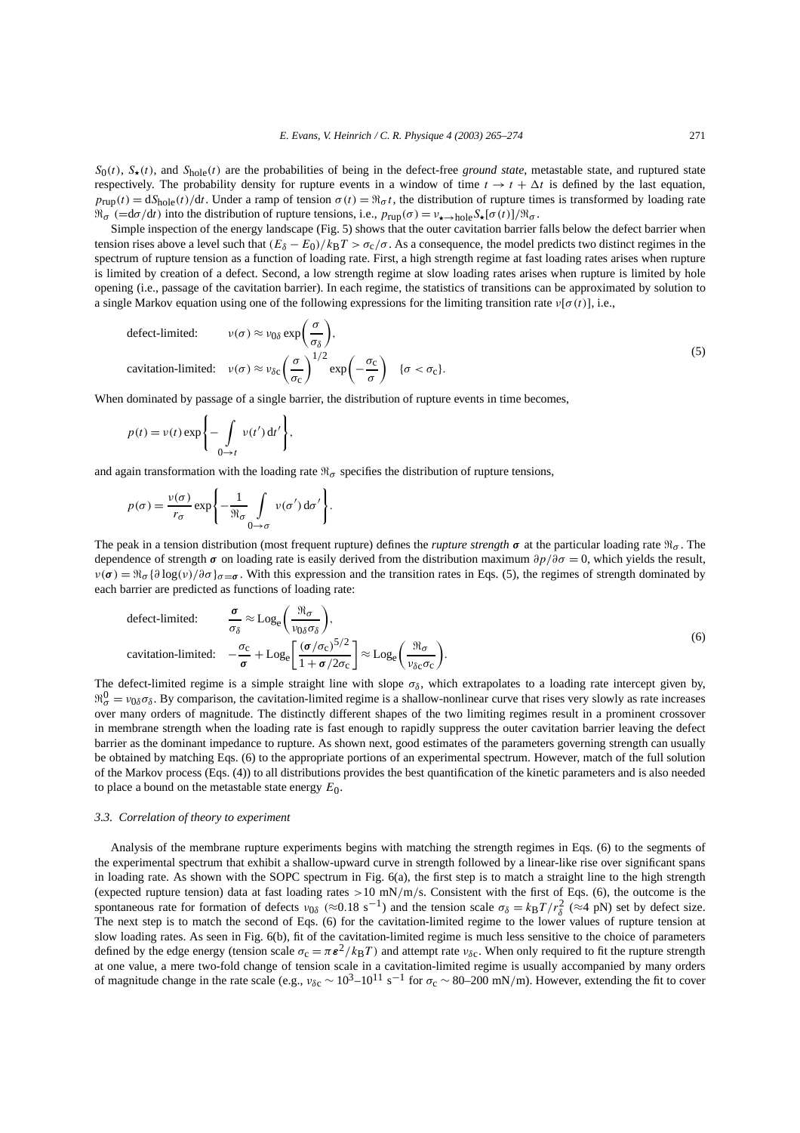$S_0(t)$ ,  $S_{\star}(t)$ , and  $S_{\text{hole}}(t)$  are the probabilities of being in the defect-free *ground state*, metastable state, and ruptured state respectively. The probability density for rupture events in a window of time  $t \to t + \Delta t$  is defined by the last equation,  $p_{\text{run}}(t) = dS_{\text{hole}}(t)/dt$ . Under a ramp of tension  $\sigma(t) = \Re_\sigma t$ , the distribution of rupture times is transformed by loading rate  $\Re \sigma$  (=d $\sigma$ /d*t*) into the distribution of rupture tensions, i.e.,  $p_{\text{rup}}(\sigma) = v_{\star \to \text{hole}} S_{\star}[\sigma(t)]/\Re \sigma$ .

Simple inspection of the energy landscape (Fig. 5) shows that the outer cavitation barrier falls below the defect barrier when tension rises above a level such that  $(E_{\delta} - E_0)/k_B T > \sigma_c/\sigma$ . As a consequence, the model predicts two distinct regimes in the spectrum of rupture tension as a function of loading rate. First, a high strength regime at fast loading rates arises when rupture is limited by creation of a defect. Second, a low strength regime at slow loading rates arises when rupture is limited by hole opening (i.e., passage of the cavitation barrier). In each regime, the statistics of transitions can be approximated by solution to a single Markov equation using one of the following expressions for the limiting transition rate  $v[\sigma(t)]$ , i.e.,

defect-limited: 
$$
v(\sigma) \approx v_{0\delta} \exp\left(\frac{\sigma}{\sigma_{\delta}}\right)
$$
,  
cavitation-limited:  $v(\sigma) \approx v_{\delta c} \left(\frac{\sigma}{\sigma_c}\right)^{1/2} \exp\left(-\frac{\sigma_c}{\sigma}\right) \quad {\sigma < \sigma_c}$ .

When dominated by passage of a single barrier, the distribution of rupture events in time becomes,

$$
p(t) = v(t) \exp\left\{-\int_{0 \to t} v(t') dt'\right\},\,
$$

and again transformation with the loading rate  $\Re_{\sigma}$  specifies the distribution of rupture tensions,

$$
p(\sigma) = \frac{v(\sigma)}{r_{\sigma}} \exp\left\{-\frac{1}{\Re_{\sigma}} \int_{0 \to \sigma} v(\sigma') d\sigma'\right\}.
$$

The peak in a tension distribution (most frequent rupture) defines the *rupture strength*  $\sigma$  at the particular loading rate  $\mathfrak{R}_{\sigma}$ . The dependence of strength *σ* on loading rate is easily derived from the distribution maximum *∂p/∂σ* = 0, which yields the result,  $\nu(\sigma) = \Re_{\sigma} {\partial \log(\nu) / \partial \sigma} \}_{\sigma = \sigma}$ . With this expression and the transition rates in Eqs. (5), the regimes of strength dominated by each barrier are predicted as functions of loading rate:

defect-limited: 
$$
\frac{\sigma}{\sigma_{\delta}} \approx \text{Log}_{e} \left( \frac{\Re_{\sigma}}{v_{0\delta}\sigma_{\delta}} \right),
$$
  
cavitation-limited:  $-\frac{\sigma_{c}}{\sigma} + \text{Log}_{e} \left[ \frac{(\sigma/\sigma_{c})^{5/2}}{1 + \sigma/2\sigma_{c}} \right] \approx \text{Log}_{e} \left( \frac{\Re_{\sigma}}{v_{\delta c}\sigma_{c}} \right).$  (6)

The defect-limited regime is a simple straight line with slope  $\sigma_{\delta}$ , which extrapolates to a loading rate intercept given by,  $\mathfrak{R}_{\sigma}^0 = v_{0\delta}\sigma_{\delta}$ . By comparison, the cavitation-limited regime is a shallow-nonlinear curve that rises very slowly as rate increases over many orders of magnitude. The distinctly different shapes of the two limiting regimes result in a prominent crossover in membrane strength when the loading rate is fast enough to rapidly suppress the outer cavitation barrier leaving the defect barrier as the dominant impedance to rupture. As shown next, good estimates of the parameters governing strength can usually be obtained by matching Eqs. (6) to the appropriate portions of an experimental spectrum. However, match of the full solution of the Markov process (Eqs. (4)) to all distributions provides the best quantification of the kinetic parameters and is also needed to place a bound on the metastable state energy *E*0.

#### *3.3. Correlation of theory to experiment*

Analysis of the membrane rupture experiments begins with matching the strength regimes in Eqs. (6) to the segments of the experimental spectrum that exhibit a shallow-upward curve in strength followed by a linear-like rise over significant spans in loading rate. As shown with the SOPC spectrum in Fig. 6(a), the first step is to match a straight line to the high strength (expected rupture tension) data at fast loading rates *>*10 mN*/*m*/*s. Consistent with the first of Eqs. (6), the outcome is the spontaneous rate for formation of defects  $v_{0\delta}$  (≈0.18 s<sup>-1</sup>) and the tension scale  $\sigma_{\delta} = k_B T/r_{\delta}^2$  (≈4 pN) set by defect size. The next step is to match the second of Eqs. (6) for the cavitation-limited regime to the lower values of rupture tension at slow loading rates. As seen in Fig. 6(b), fit of the cavitation-limited regime is much less sensitive to the choice of parameters defined by the edge energy (tension scale  $\sigma_c = \pi \epsilon^2 / k_B T$ ) and attempt rate  $\nu_{\delta c}$ . When only required to fit the rupture strength at one value, a mere two-fold change of tension scale in a cavitation-limited regime is usually accompanied by many orders of magnitude change in the rate scale (e.g.,  $v_{\delta c} \sim 10^3$ –10<sup>11</sup> s<sup>-1</sup> for  $\sigma_c \sim 80$ –200 mN/m). However, extending the fit to cover

(5)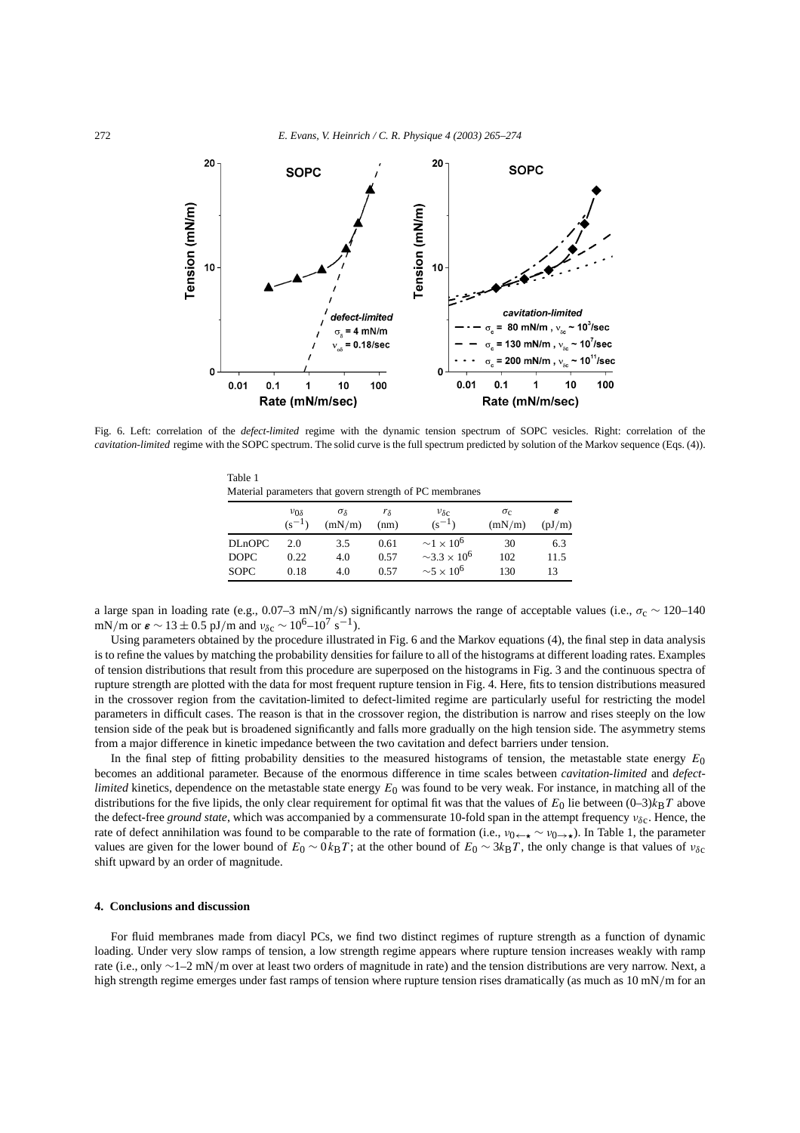

Fig. 6. Left: correlation of the *defect-limited* regime with the dynamic tension spectrum of SOPC vesicles. Right: correlation of the *cavitation-limited* regime with the SOPC spectrum. The solid curve is the full spectrum predicted by solution of the Markov sequence (Eqs. (4)).

| Material parameters that govern strength of PC membranes |                             |                             |                        |                                     |                        |             |
|----------------------------------------------------------|-----------------------------|-----------------------------|------------------------|-------------------------------------|------------------------|-------------|
|                                                          | $v_{0\delta}$<br>$(s^{-1})$ | $\sigma_{\delta}$<br>(mN/m) | r <sub>δ</sub><br>(nm) | $v_{\delta c}$<br>$(s^{-1})$        | $\sigma_{c}$<br>(mN/m) | ε<br>(pJ/m) |
| <b>DLnOPC</b>                                            | 2.0                         | 3.5                         | 0.61                   | $\sim$ 1 $\times$ 10 <sup>6</sup>   | 30                     | 6.3         |
| <b>DOPC</b>                                              | 0.22                        | 4.0                         | 0.57                   | $\sim$ 3.3 $\times$ 10 <sup>6</sup> | 102                    | 11.5        |
| <b>SOPC</b>                                              | 0.18                        | 4.0                         | 0.57                   | $\sim$ 5 × 10 <sup>6</sup>          | 130                    | 13          |

a large span in loading rate (e.g., 0.07–3 mN/m/s) significantly narrows the range of acceptable values (i.e.,  $\sigma_c \sim 120-140$ mN/m or  $\varepsilon \sim 13 \pm 0.5$  pJ/m and  $v_{\delta c} \sim 10^6 - 10^7$  s<sup>-1</sup>).

Using parameters obtained by the procedure illustrated in Fig. 6 and the Markov equations (4), the final step in data analysis is to refine the values by matching the probability densities for failure to all of the histograms at different loading rates. Examples of tension distributions that result from this procedure are superposed on the histograms in Fig. 3 and the continuous spectra of rupture strength are plotted with the data for most frequent rupture tension in Fig. 4. Here, fits to tension distributions measured in the crossover region from the cavitation-limited to defect-limited regime are particularly useful for restricting the model parameters in difficult cases. The reason is that in the crossover region, the distribution is narrow and rises steeply on the low tension side of the peak but is broadened significantly and falls more gradually on the high tension side. The asymmetry stems from a major difference in kinetic impedance between the two cavitation and defect barriers under tension.

In the final step of fitting probability densities to the measured histograms of tension, the metastable state energy *E*0 becomes an additional parameter. Because of the enormous difference in time scales between *cavitation-limited* and *defectlimited* kinetics, dependence on the metastable state energy  $E_0$  was found to be very weak. For instance, in matching all of the distributions for the five lipids, the only clear requirement for optimal fit was that the values of  $E_0$  lie between  $(0-3)k_BT$  above the defect-free *ground state*, which was accompanied by a commensurate 10-fold span in the attempt frequency *νδ*c. Hence, the rate of defect annihilation was found to be comparable to the rate of formation (i.e., *v*<sub>0←★</sub> ∼ *v*<sub>0→★</sub>). In Table 1, the parameter values are given for the lower bound of  $E_0 \sim 0 k_B T$ ; at the other bound of  $E_0 \sim 3 k_B T$ , the only change is that values of  $v_{\delta c}$ shift upward by an order of magnitude.

### **4. Conclusions and discussion**

Table 1

For fluid membranes made from diacyl PCs, we find two distinct regimes of rupture strength as a function of dynamic loading. Under very slow ramps of tension, a low strength regime appears where rupture tension increases weakly with ramp rate (i.e., only ∼1–2 mN*/*m over at least two orders of magnitude in rate) and the tension distributions are very narrow. Next, a high strength regime emerges under fast ramps of tension where rupture tension rises dramatically (as much as 10 mN/m for an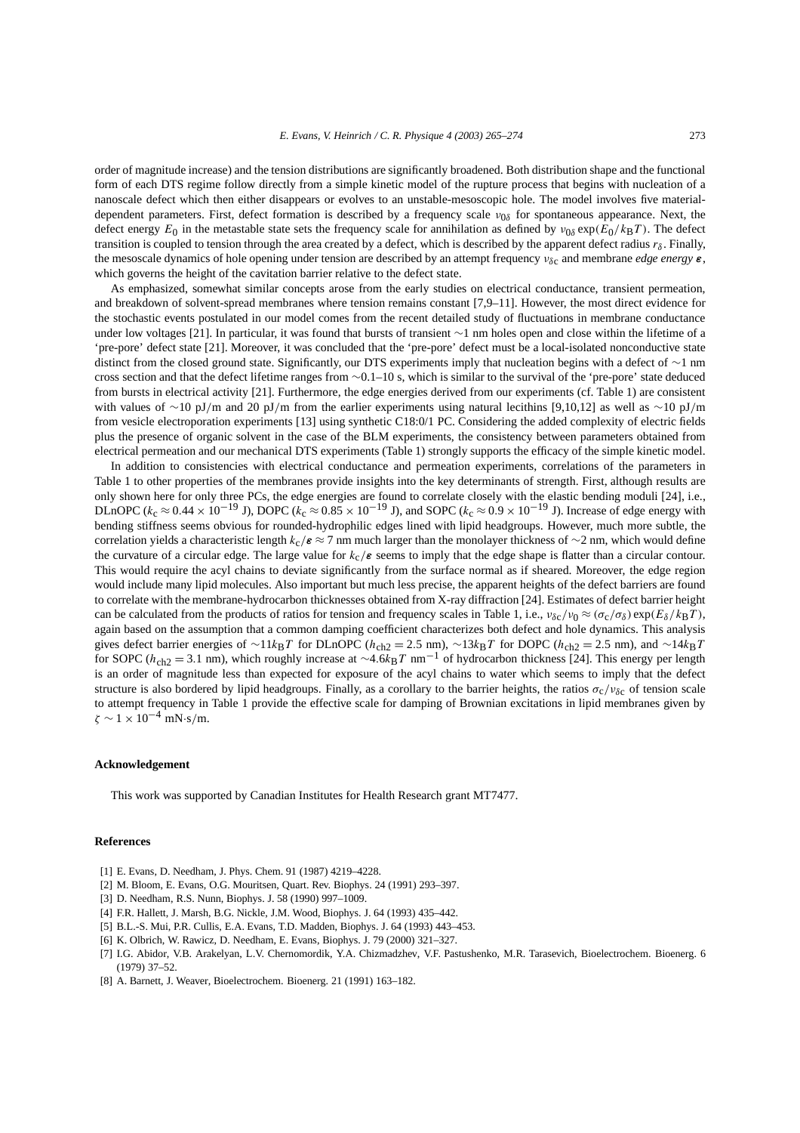order of magnitude increase) and the tension distributions are significantly broadened. Both distribution shape and the functional form of each DTS regime follow directly from a simple kinetic model of the rupture process that begins with nucleation of a nanoscale defect which then either disappears or evolves to an unstable-mesoscopic hole. The model involves five materialdependent parameters. First, defect formation is described by a frequency scale  $v_{0\delta}$  for spontaneous appearance. Next, the defect energy  $E_0$  in the metastable state sets the frequency scale for annihilation as defined by  $v_{0\delta} \exp(E_0/k_BT)$ . The defect transition is coupled to tension through the area created by a defect, which is described by the apparent defect radius  $r_\delta$ . Finally, the mesoscale dynamics of hole opening under tension are described by an attempt frequency *νδ*c and membrane *edge energy ε*, which governs the height of the cavitation barrier relative to the defect state.

As emphasized, somewhat similar concepts arose from the early studies on electrical conductance, transient permeation, and breakdown of solvent-spread membranes where tension remains constant [7,9–11]. However, the most direct evidence for the stochastic events postulated in our model comes from the recent detailed study of fluctuations in membrane conductance under low voltages [21]. In particular, it was found that bursts of transient ∼1 nm holes open and close within the lifetime of a 'pre-pore' defect state [21]. Moreover, it was concluded that the 'pre-pore' defect must be a local-isolated nonconductive state distinct from the closed ground state. Significantly, our DTS experiments imply that nucleation begins with a defect of ∼1 nm cross section and that the defect lifetime ranges from ∼0.1–10 s, which is similar to the survival of the 'pre-pore' state deduced from bursts in electrical activity [21]. Furthermore, the edge energies derived from our experiments (cf. Table 1) are consistent with values of ∼10 pJ*/*m and 20 pJ*/*m from the earlier experiments using natural lecithins [9,10,12] as well as ∼10 pJ*/*m from vesicle electroporation experiments [13] using synthetic C18:0/1 PC. Considering the added complexity of electric fields plus the presence of organic solvent in the case of the BLM experiments, the consistency between parameters obtained from electrical permeation and our mechanical DTS experiments (Table 1) strongly supports the efficacy of the simple kinetic model.

In addition to consistencies with electrical conductance and permeation experiments, correlations of the parameters in Table 1 to other properties of the membranes provide insights into the key determinants of strength. First, although results are only shown here for only three PCs, the edge energies are found to correlate closely with the elastic bending moduli [24], i.e., DLnOPC ( $k_c \approx 0.44 \times 10^{-19}$  J), DOPC ( $k_c \approx 0.85 \times 10^{-19}$  J), and SOPC ( $k_c \approx 0.9 \times 10^{-19}$  J). Increase of edge energy with bending stiffness seems obvious for rounded-hydrophilic edges lined with lipid headgroups. However, much more subtle, the correlation yields a characteristic length  $k_c/\epsilon \approx 7$  nm much larger than the monolayer thickness of  $\sim$ 2 nm, which would define the curvature of a circular edge. The large value for  $k_c/\varepsilon$  seems to imply that the edge shape is flatter than a circular contour. This would require the acyl chains to deviate significantly from the surface normal as if sheared. Moreover, the edge region would include many lipid molecules. Also important but much less precise, the apparent heights of the defect barriers are found to correlate with the membrane-hydrocarbon thicknesses obtained from X-ray diffraction [24]. Estimates of defect barrier height can be calculated from the products of ratios for tension and frequency scales in Table 1, i.e.,  $v_{\delta c}/v_0 \approx (\sigma_c/\sigma_\delta) \exp(E_\delta/k_BT)$ , again based on the assumption that a common damping coefficient characterizes both defect and hole dynamics. This analysis gives defect barrier energies of ∼11*k*B*T* for DLnOPC ( $h_{ch2} = 2.5$  nm), ∼13*k*B*T* for DOPC ( $h_{ch2} = 2.5$  nm), and ∼14*k*B*T* for SOPC (*h*ch2 <sup>=</sup> <sup>3</sup>*.*1 nm), which roughly increase at <sup>∼</sup>4*.*6*k*B*<sup>T</sup>* nm−<sup>1</sup> of hydrocarbon thickness [24]. This energy per length is an order of magnitude less than expected for exposure of the acyl chains to water which seems to imply that the defect structure is also bordered by lipid headgroups. Finally, as a corollary to the barrier heights, the ratios  $\sigma_c/v_{\delta c}$  of tension scale to attempt frequency in Table 1 provide the effective scale for damping of Brownian excitations in lipid membranes given by *ζ* ∼ 1 × 10−<sup>4</sup> mN·s*/*m.

### **Acknowledgement**

This work was supported by Canadian Institutes for Health Research grant MT7477.

#### **References**

- [1] E. Evans, D. Needham, J. Phys. Chem. 91 (1987) 4219–4228.
- [2] M. Bloom, E. Evans, O.G. Mouritsen, Quart. Rev. Biophys. 24 (1991) 293–397.
- [3] D. Needham, R.S. Nunn, Biophys. J. 58 (1990) 997–1009.
- [4] F.R. Hallett, J. Marsh, B.G. Nickle, J.M. Wood, Biophys. J. 64 (1993) 435–442.
- [5] B.L.-S. Mui, P.R. Cullis, E.A. Evans, T.D. Madden, Biophys. J. 64 (1993) 443–453.
- [6] K. Olbrich, W. Rawicz, D. Needham, E. Evans, Biophys. J. 79 (2000) 321–327.
- [7] I.G. Abidor, V.B. Arakelyan, L.V. Chernomordik, Y.A. Chizmadzhev, V.F. Pastushenko, M.R. Tarasevich, Bioelectrochem. Bioenerg. 6 (1979) 37–52.
- [8] A. Barnett, J. Weaver, Bioelectrochem. Bioenerg. 21 (1991) 163–182.